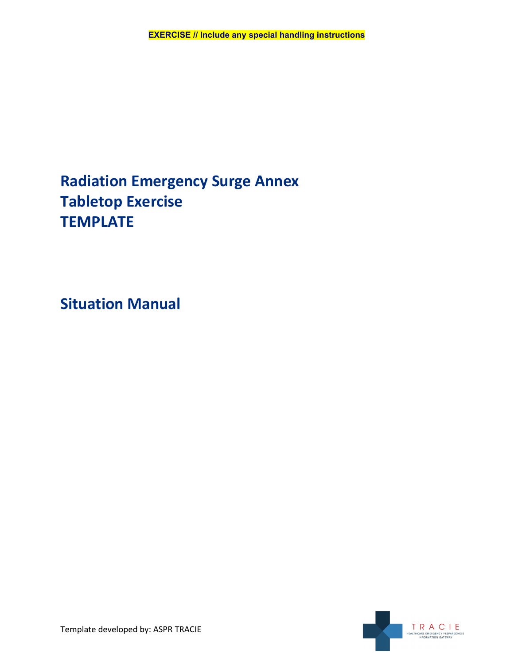# **Tabletop Exercise TEMPLATE Radiation Emergency Surge Annex**

**Situation Manual** 

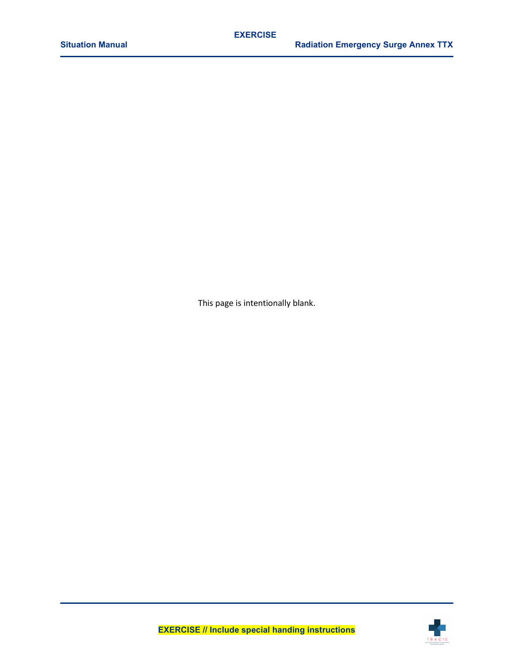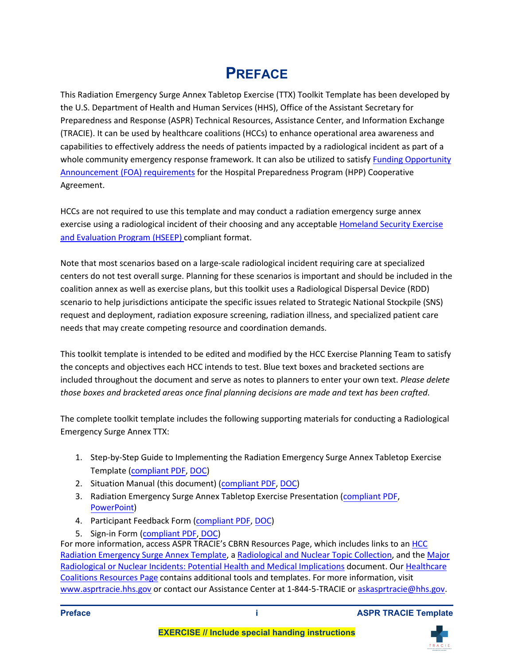# **PREFACE**

 (TRACIE). It can be used by healthcare coalitions (HCCs) to enhance operational area awareness and capabilities to effectively address the needs of patients impacted by a radiological incident as part of a This Radiation Emergency Surge Annex Tabletop Exercise (TTX) Toolkit Template has been developed by the U.S. Department of Health and Human Services (HHS), Office of the Assistant Secretary for Preparedness and Response (ASPR) Technical Resources, Assistance Center, and Information Exchange whole community emergency response framework. It can also be utilized to satisfy Funding Opportunity [Announcement \(FOA\) requirements](https://www.grantsolutions.gov/gs/preaward/previewPublicAnnouncement.do?id=63163) for the Hospital Preparedness Program (HPP) Cooperative Agreement.

 HCCs are not required to use this template and may conduct a radiation emergency surge annex exercise using a radiological incident of their choosing and any acceptable Homeland Security Exercise [and Evaluation Program \(HSEEP\)](https://www.fema.gov/emergency-managers/national-preparedness/exercises/hseep) compliant format.

 Note that most scenarios based on a large-scale radiological incident requiring care at specialized centers do not test overall surge. Planning for these scenarios is important and should be included in the request and deployment, radiation exposure screening, radiation illness, and specialized patient care needs that may create competing resource and coordination demands. coalition annex as well as exercise plans, but this toolkit uses a Radiological Dispersal Device (RDD) scenario to help jurisdictions anticipate the specific issues related to Strategic National Stockpile (SNS)

 This toolkit template is intended to be edited and modified by the HCC Exercise Planning Team to satisfy the concepts and objectives each HCC intends to test. Blue text boxes and bracketed sections are included throughout the document and serve as notes to planners to enter your own text. *Please delete those boxes and bracketed areas once final planning decisions are made and text has been crafted*.

The complete toolkit template includes the following supporting materials for conducting a Radiological Emergency Surge Annex TTX:

- 1. Step-by-Step Guide to Implementing the Radiation Emergency Surge Annex Tabletop Exercise Template ([compliant PDF,](https://files.asprtracie.hhs.gov/documents/aspr-tracie-step-by-step-guide-to-implementing-coalition-rad-surge-ttx-template-final.pdf) [DOC\)](https://files.asprtracie.hhs.gov/documents/aspr-tracie-step-by-step-guide-to-implementing-coalition-rad-surge-ttx-template-final.docx)
- 2. Situation Manual (this document) [\(compliant PDF,](https://files.asprtracie.hhs.gov/documents/aspr-tracie-hcc-radiology-surge-ttx-sitman-final.pdf) [DOC\)](https://files.asprtracie.hhs.gov/documents/aspr-tracie-hcc-radiology-surge-ttx-sitman-final.docx)
- 3. Radiation Emergency Surge Annex Tabletop Exercise Presentation [\(compliant PDF,](https://files.asprtracie.hhs.gov/documents/aspr-tracie-coalition-rad-surge-ttx-template-presentation-final.pdf) [PowerPoint\)](https://files.asprtracie.hhs.gov/documents/aspr-tracie-coalition-rad-surge-ttx-template-presentation-final.pptx)
- 4. Participant F[eedback Form](https://files.asprtracie.hhs.gov/documents/aspr-tracie-rad-surge-ttx-sign-in-sheet-final.pdf) [\(compliant PDF,](https://files.asprtracie.hhs.gov/documents/aspr-tracie-coalition-rad-surge-ttx-participant-feedback-form-final.pdf) [DOC\)](https://files.asprtracie.hhs.gov/documents/aspr-tracie-coalition-rad-surge-ttx-participant-feedback-form-final.docx)
- 5. Sign-in Form (compliant PDF, DOC)

www.asprtracie.hhs.gov</u> or contact our Assistance Center at 1-844-5-TRACIE or [askasprtracie@hhs.gov.](mailto:askasprtracie@hhs.gov) For more information, access ASPR TRACIE's CBRN Resources Page, which includes links to a[n HCC](https://files.asprtracie.hhs.gov/documents/aspr-tracie-hcc-radiation-emergency-surge-annex-template.pdf)  [Radiation Emergency Surge Annex Template,](https://files.asprtracie.hhs.gov/documents/aspr-tracie-hcc-radiation-emergency-surge-annex-template.pdf) a [Radiological and Nuclear Topic Collection,](https://asprtracie.hhs.gov/technical-resources/32/radiological-and-nuclear/27) and the [Major](https://files.asprtracie.hhs.gov/documents/aspr-tracie-radiological-and-nuclear-health-and-medical-considerations-508.pdf)  [Radiological or Nuclear Incidents: Potential Health and Medical Implications](https://files.asprtracie.hhs.gov/documents/aspr-tracie-radiological-and-nuclear-health-and-medical-considerations-508.pdf) document. Ou[r Healthcare](https://asprtracie.hhs.gov/hcc-resources)  [Coalitions Resources Page](https://asprtracie.hhs.gov/hcc-resources) contains additional tools and templates. For more information, visit



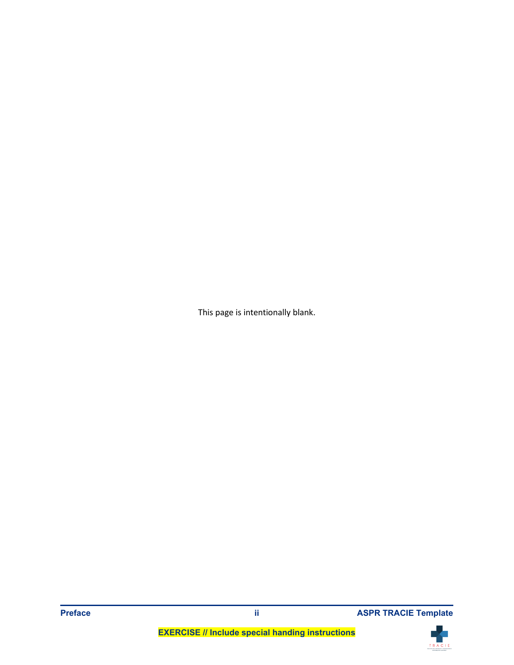



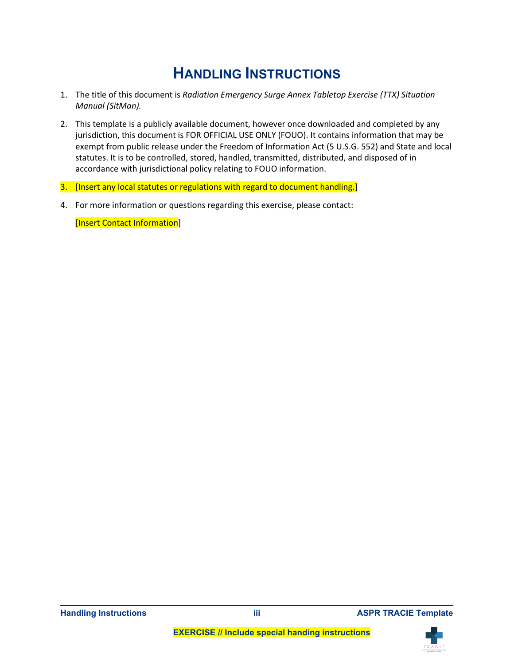# **HANDLING INSTRUCTIONS**

- 1. The title of this document is *Radiation Emergency Surge Annex Tabletop Exercise (TTX) Situation Manual (SitMan).*
- jurisdiction, this document is FOR OFFICIAL USE ONLY (FOUO). It contains information that may be statutes. It is to be controlled, stored, handled, transmitted, distributed, and disposed of in accordance with jurisdictional policy relating to FOUO information. 2. This template is a publicly available document, however once downloaded and completed by any exempt from public release under the Freedom of Information Act (5 U.S.G. 552) and State and local
- 3. [Insert any local statutes or regulations with regard to document handling.]
- 4. For more information or questions regarding this exercise, please contact:

[Insert Contact Information]



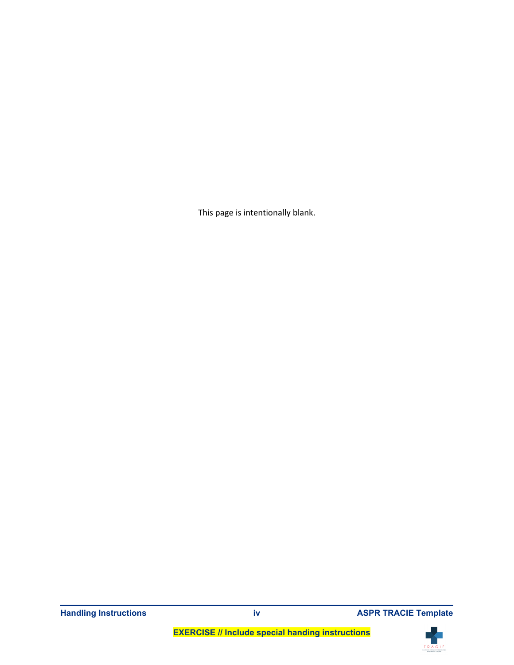

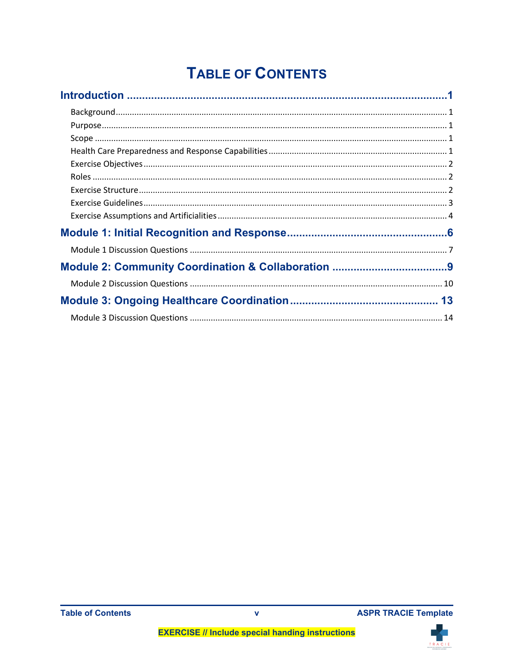# **TABLE OF CONTENTS**



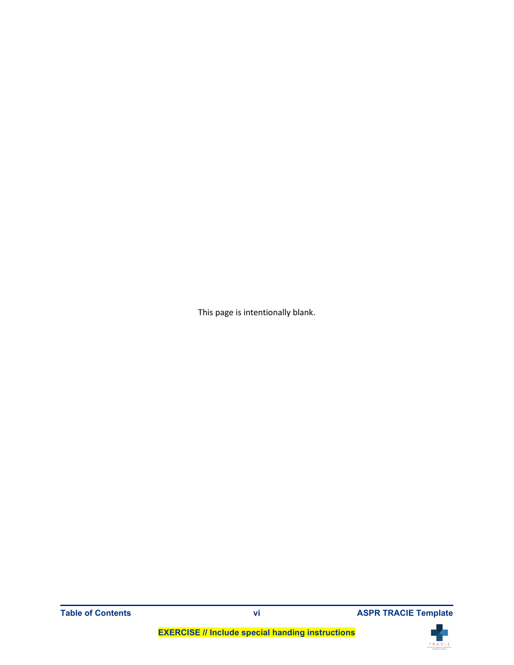

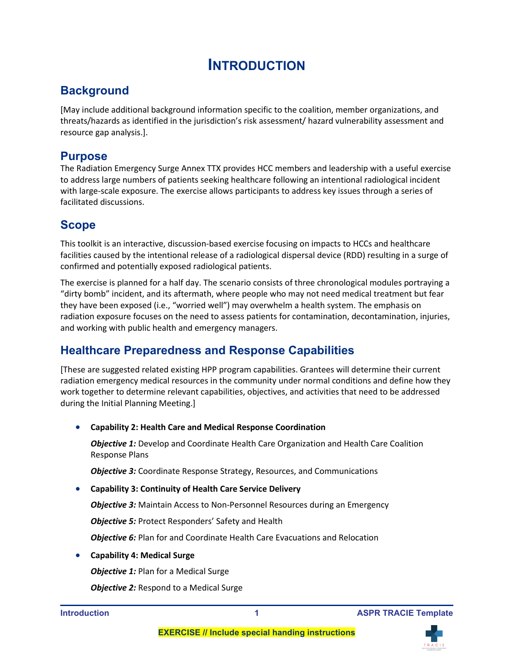# **INTRODUCTION**

# <span id="page-8-1"></span><span id="page-8-0"></span>**Background**

[May include additional background information specific to the coalition, member organizations, and threats/hazards as identified in the jurisdiction's risk assessment/ hazard vulnerability assessment and resource gap analysis.].

#### <span id="page-8-2"></span>**Purpose**

 with large-scale exposure. The exercise allows participants to address key issues through a series of The Radiation Emergency Surge Annex TTX provides HCC members and leadership with a useful exercise to address large numbers of patients seeking healthcare following an intentional radiological incident facilitated discussions.

# <span id="page-8-3"></span>**Scope**

This toolkit is an interactive, discussion-based exercise focusing on impacts to HCCs and healthcare facilities caused by the intentional release of a radiological dispersal device (RDD) resulting in a surge of confirmed and potentially exposed radiological patients.

 radiation exposure focuses on the need to assess patients for contamination, decontamination, injuries, The exercise is planned for a half day. The scenario consists of three chronological modules portraying a "dirty bomb" incident, and its aftermath, where people who may not need medical treatment but fear they have been exposed (i.e., "worried well") may overwhelm a health system. The emphasis on and working with public health and emergency managers.

# <span id="page-8-4"></span> **Healthcare Preparedness and Response Capabilities**

[These are suggested related existing HPP program capabilities. Grantees will determine their current radiation emergency medical resources in the community under normal conditions and define how they work together to determine relevant capabilities, objectives, and activities that need to be addressed during the Initial Planning Meeting.]

• **Capability 2: Health Care and Medical Response Coordination** 

 *Objective 1:* Develop and Coordinate Health Care Organization and Health Care Coalition Response Plans

*Objective 3:* Coordinate Response Strategy, Resources, and Communications

 • **Capability 3: Continuity of Health Care Service Delivery** 

*Objective 3:* Maintain Access to Non-Personnel Resources during an Emergency

*Objective 5:* Protect Responders' Safety and Health

*Objective 6: Plan for and Coordinate Health Care Evacuations and Relocation* 

• **Capability 4: Medical Surge** 

*Objective 1:* Plan for a Medical Surge

**Objective 2:** Respond to a Medical Surge



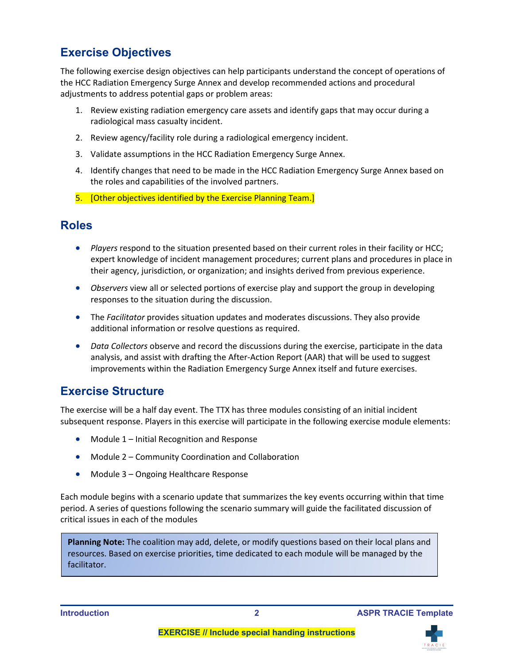# <span id="page-9-0"></span>**Exercise Objectives**

The following exercise design objectives can help participants understand the concept of operations of the HCC Radiation Emergency Surge Annex and develop recommended actions and procedural adjustments to address potential gaps or problem areas:

- 1. Review existing radiation emergency care assets and identify gaps that may occur during a radiological mass casualty incident.
- 2. Review agency/facility role during a radiological emergency incident.
- 3. Validate assumptions in the HCC Radiation Emergency Surge Annex.
- 4. Identify changes that need to be made in the HCC Radiation Emergency Surge Annex based on the roles and capabilities of the involved partners.
- 5. [Other objectives identified by the Exercise Planning Team.]

#### <span id="page-9-1"></span>**Roles**

- • *Players* respond to the situation presented based on their current roles in their facility or HCC; expert knowledge of incident management procedures; current plans and procedures in place in their agency, jurisdiction, or organization; and insights derived from previous experience.
- *Observers* view all or selected portions of exercise play and support the group in developing responses to the situation during the discussion.
- • The *Facilitator* provides situation updates and moderates discussions. They also provide additional information or resolve questions as required.
- *Data Collectors* observe and record the discussions during the exercise, participate in the data analysis, and assist with drafting the After-Action Report (AAR) that will be used to suggest improvements within the Radiation Emergency Surge Annex itself and future exercises.

#### <span id="page-9-2"></span>**Exercise Structure**

 The exercise will be a half day event. The TTX has three modules consisting of an initial incident subsequent response. Players in this exercise will participate in the following exercise module elements:

- Module 1 Initial Recognition and Response
- Module 2 Community Coordination and Collaboration
- Module 3 Ongoing Healthcare Response

 period. A series of questions following the scenario summary will guide the facilitated discussion of Each module begins with a scenario update that summarizes the key events occurring within that time critical issues in each of the modules

 resources. Based on exercise priorities, time dedicated to each module will be managed by the **Planning Note:** The coalition may add, delete, or modify questions based on their local plans and facilitator.



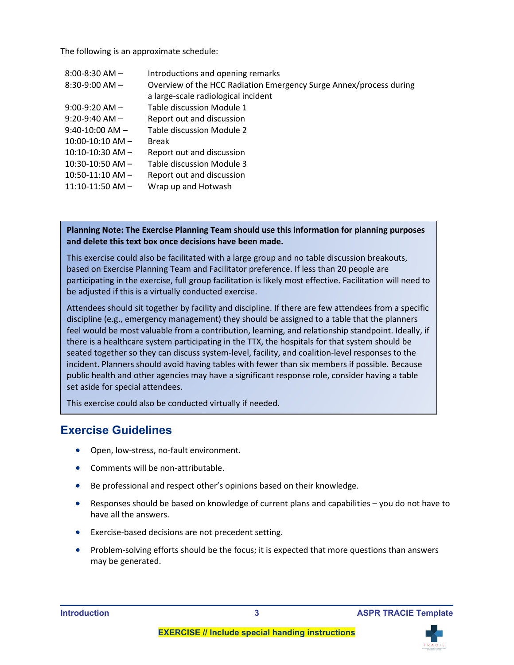The following is an approximate schedule:

| Introductions and opening remarks                                  |
|--------------------------------------------------------------------|
| Overview of the HCC Radiation Emergency Surge Annex/process during |
| a large-scale radiological incident                                |
| Table discussion Module 1                                          |
| Report out and discussion                                          |
| Table discussion Module 2                                          |
| <b>Break</b>                                                       |
| Report out and discussion                                          |
| Table discussion Module 3                                          |
| Report out and discussion                                          |
|                                                                    |

11:10-11:50 AM  $-$  Wrap up and Hotwash

**Planning Note: The Exercise Planning Team should use this information for planning purposes and delete this text box once decisions have been made.** 

 This exercise could also be facilitated with a large group and no table discussion breakouts, based on Exercise Planning Team and Facilitator preference. If less than 20 people are participating in the exercise, full group facilitation is likely most effective. Facilitation will need to be adjusted if this is a virtually conducted exercise.

 discipline (e.g., emergency management) they should be assigned to a table that the planners there is a healthcare system participating in the TTX, the hospitals for that system should be seated together so they can discuss system-level, facility, and coalition-level responses to the Attendees should sit together by facility and discipline. If there are few attendees from a specific feel would be most valuable from a contribution, learning, and relationship standpoint. Ideally, if incident. Planners should avoid having tables with fewer than six members if possible. Because public health and other agencies may have a significant response role, consider having a table set aside for special attendees.

This exercise could also be conducted virtually if needed.

#### <span id="page-10-0"></span>**Exercise Guidelines**

- Open, low-stress, no-fault environment.
- Comments will be non-attributable.
- Be professional and respect other's opinions based on their knowledge.
- Responses should be based on knowledge of current plans and capabilities you do not have to have all the answers.
- Exercise-based decisions are not precedent setting.
- Problem-solving efforts should be the focus; it is expected that more questions than answers may be generated.



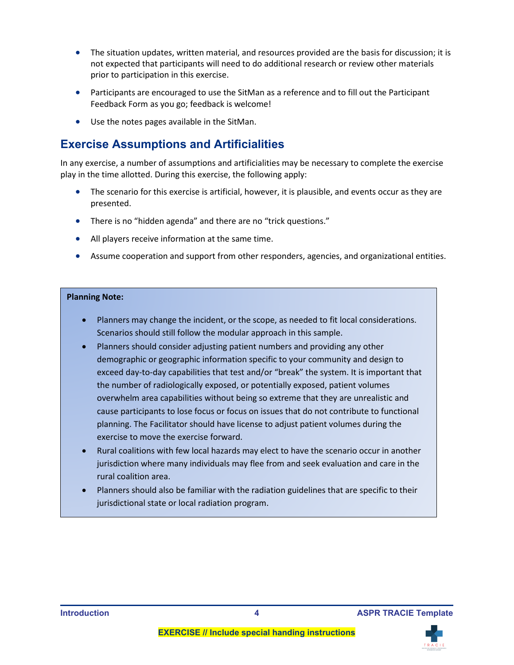- • The situation updates, written material, and resources provided are the basis for discussion; it is not expected that participants will need to do additional research or review other materials prior to participation in this exercise.
- Participants are encouraged to use the SitMan as a reference and to fill out the Participant Feedback Form as you go; feedback is welcome!
- Use the notes pages available in the SitMan.

#### <span id="page-11-0"></span>**Exercise Assumptions and Artificialities**

 In any exercise, a number of assumptions and artificialities may be necessary to complete the exercise play in the time allotted. During this exercise, the following apply:

- The scenario for this exercise is artificial, however, it is plausible, and events occur as they are presented.
- There is no "hidden agenda" and there are no "trick questions."
- All players receive information at the same time.
- Assume cooperation and support from other responders, agencies, and organizational entities.

#### **Planning Note:**

- • Planners may change the incident, or the scope, as needed to fit local considerations. Scenarios should still follow the modular approach in this sample.
- • Planners should consider adjusting patient numbers and providing any other cause participants to lose focus or focus on issues that do not contribute to functional planning. The Facilitator should have license to adjust patient volumes during the demographic or geographic information specific to your community and design to exceed day-to-day capabilities that test and/or "break" the system. It is important that the number of radiologically exposed, or potentially exposed, patient volumes overwhelm area capabilities without being so extreme that they are unrealistic and exercise to move the exercise forward.
- jurisdiction where many individuals may flee from and seek evaluation and care in the • Rural coalitions with few local hazards may elect to have the scenario occur in another rural coalition area.
- • Planners should also be familiar with the radiation guidelines that are specific to their jurisdictional state or local radiation program.

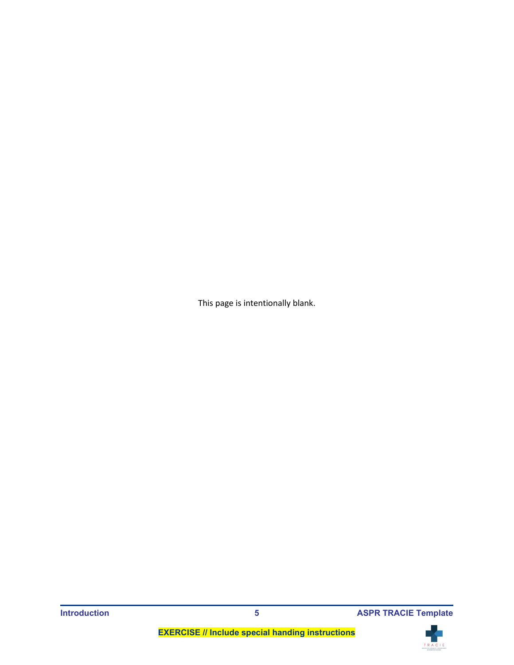

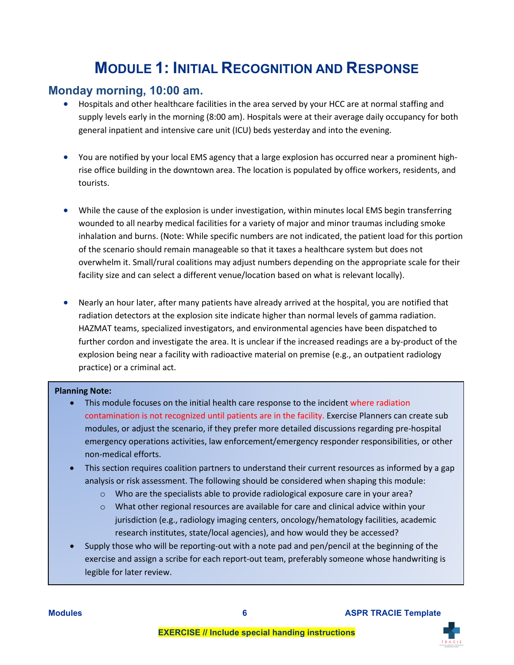# **MODULE 1: INITIAL RECOGNITION AND RESPONSE**

### <span id="page-13-0"></span> **Monday morning, 10:00 am.**

- supply levels early in the morning (8:00 am). Hospitals were at their average daily occupancy for both general inpatient and intensive care unit (ICU) beds yesterday and into the evening. • Hospitals and other healthcare facilities in the area served by your HCC are at normal staffing and
- rise office building in the downtown area. The location is populated by office workers, residents, and tourists. • You are notified by your local EMS agency that a large explosion has occurred near a prominent high-
- wounded to all nearby medical facilities for a variety of major and minor traumas including smoke inhalation and burns. (Note: While specific numbers are not indicated, the patient load for this portion overwhelm it. Small/rural coalitions may adjust numbers depending on the appropriate scale for their • While the cause of the explosion is under investigation, within minutes local EMS begin transferring of the scenario should remain manageable so that it taxes a healthcare system but does not facility size and can select a different venue/location based on what is relevant locally).
- radiation detectors at the explosion site indicate higher than normal levels of gamma radiation. explosion being near a facility with radioactive material on premise (e.g., an outpatient radiology • Nearly an hour later, after many patients have already arrived at the hospital, you are notified that HAZMAT teams, specialized investigators, and environmental agencies have been dispatched to further cordon and investigate the area. It is unclear if the increased readings are a by-product of the practice) or a criminal act.

#### **Planning Note:**

- • This module focuses on the initial health care response to the incident where radiation contamination is not recognized until patients are in the facility. Exercise Planners can create sub emergency operations activities, law enforcement/emergency responder responsibilities, or other modules, or adjust the scenario, if they prefer more detailed discussions regarding pre-hospital non-medical efforts.
- • This section requires coalition partners to understand their current resources as informed by a gap analysis or risk assessment. The following should be considered when shaping this module:
	- $\circ$  Who are the specialists able to provide radiological exposure care in your area?
	- o What other regional resources are available for care and clinical advice within your jurisdiction (e.g., radiology imaging centers, oncology/hematology facilities, academic research institutes, state/local agencies), and how would they be accessed?
- Supply those who will be reporting-out with a note pad and pen/pencil at the beginning of the exercise and assign a scribe for each report-out team, preferably someone whose handwriting is legible for later review.

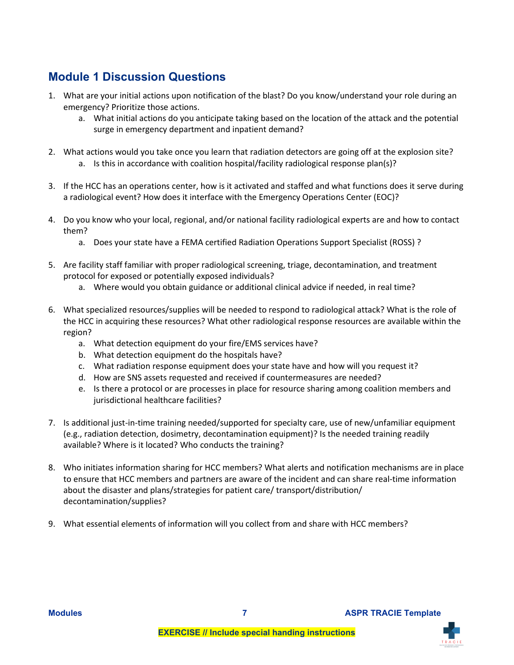# <span id="page-14-0"></span>**Module 1 Discussion Questions**

- 1. What are your initial actions upon notification of the blast? Do you know/understand your role during an emergency? Prioritize those actions.
	- a. What initial actions do you anticipate taking based on the location of the attack and the potential surge in emergency department and inpatient demand?
- 2. What actions would you take once you learn that radiation detectors are going off at the explosion site? a. Is this in accordance with coalition hospital/facility radiological response plan(s)?
- 3. If the HCC has an operations center, how is it activated and staffed and what functions does it serve during a radiological event? How does it interface with the Emergency Operations Center (EOC)?
- 4. Do you know who your local, regional, and/or national facility radiological experts are and how to contact them?
	- a. Does your state have a FEMA certified Radiation Operations Support Specialist (ROSS) ?
- 5. Are facility staff familiar with proper radiological screening, triage, decontamination, and treatment protocol for exposed or potentially exposed individuals?
	- protocol for exposed or potentially exposed individuals?<br>a. Where would you obtain guidance or additional clinical advice if needed, in real time?
- the HCC in acquiring these resources? What other radiological response resources are available within the 6. What specialized resources/supplies will be needed to respond to radiological attack? What is the role of region?
	- a. What detection equipment do your fire/EMS services have?
	- b. What detection equipment do the hospitals have?
	- c. What radiation response equipment does your state have and how will you request it?
	- d. How are SNS assets requested and received if countermeasures are needed?
	- e. Is there a protocol or are processes in place for resource sharing among coalition members and jurisdictional healthcare facilities?
- (e.g., radiation detection, dosimetry, decontamination equipment)? Is the needed training readily 7. Is additional just-in-time training needed/supported for specialty care, use of new/unfamiliar equipment available? Where is it located? Who conducts the training?
- to ensure that HCC members and partners are aware of the incident and can share real-time information about the disaster and plans/strategies for patient care/ transport/distribution/ 8. Who initiates information sharing for HCC members? What alerts and notification mechanisms are in place decontamination/supplies?
- 9. What essential elements of information will you collect from and share with HCC members?

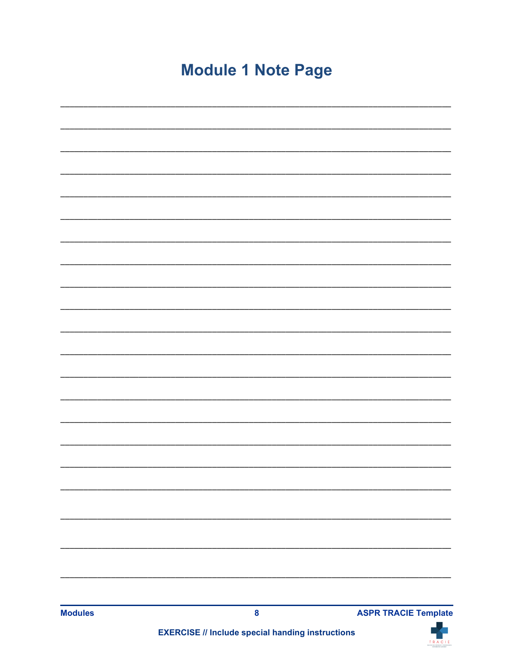# **Module 1 Note Page**

| <b>Modules</b> | $\pmb{8}$ | <b>ASPR TRACIE Template</b> |
|----------------|-----------|-----------------------------|
|                |           |                             |
|                |           |                             |
|                |           |                             |
|                |           |                             |
|                |           |                             |
|                |           |                             |
|                |           |                             |
|                |           |                             |
|                |           |                             |
|                |           |                             |
|                |           |                             |
|                |           |                             |
|                |           |                             |
|                |           |                             |
|                |           |                             |
|                |           |                             |
|                |           |                             |
|                |           |                             |
|                |           |                             |
|                |           |                             |

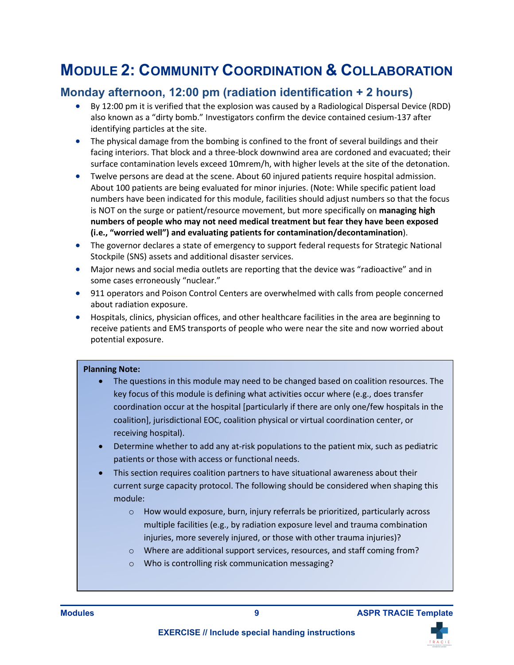# <span id="page-16-0"></span> **MODULE 2: COMMUNITY COORDINATION & COLLABORATION**

# **Monday afternoon, 12:00 pm (radiation identification + 2 hours)**

- • By 12:00 pm it is verified that the explosion was caused by a Radiological Dispersal Device (RDD) also known as a "dirty bomb." Investigators confirm the device contained cesium-137 after identifying particles at the site.
- • The physical damage from the bombing is confined to the front of several buildings and their surface contamination levels exceed 10mrem/h, with higher levels at the site of the detonation. facing interiors. That block and a three-block downwind area are cordoned and evacuated; their
- • Twelve persons are dead at the scene. About 60 injured patients require hospital admission. is NOT on the surge or patient/resource movement, but more specifically on **managing high**  About 100 patients are being evaluated for minor injuries. (Note: While specific patient load numbers have been indicated for this module, facilities should adjust numbers so that the focus **numbers of people who may not need medical treatment but fear they have been exposed (i.e., "worried well") and evaluating patients for contamination/decontamination**).
- • The governor declares a state of emergency to support federal requests for Strategic National Stockpile (SNS) assets and additional disaster services.
- • Major news and social media outlets are reporting that the device was "radioactive" and in some cases erroneously "nuclear."
- 911 operators and Poison Control Centers are overwhelmed with calls from people concerned about radiation exposure.
- • Hospitals, clinics, physician offices, and other healthcare facilities in the area are beginning to receive patients and EMS transports of people who were near the site and now worried about potential exposure.

#### **Planning Note:**

- key focus of this module is defining what activities occur where (e.g., does transfer coordination occur at the hospital [particularly if there are only one/few hospitals in the coalition], jurisdictional EOC, coalition physical or virtual coordination center, or • The questions in this module may need to be changed based on coalition resources. The receiving hospital).
- • Determine whether to add any at-risk populations to the patient mix, such as pediatric patients or those with access or functional needs.
- This section requires coalition partners to have situational awareness about their current surge capacity protocol. The following should be considered when shaping this module:
	- o How would exposure, burn, injury referrals be prioritized, particularly across multiple facilities (e.g., by radiation exposure level and trauma combination injuries, more severely injured, or those with other trauma injuries)?
	- o Where are additional support services, resources, and staff coming from?
	- o Who is controlling risk communication messaging?

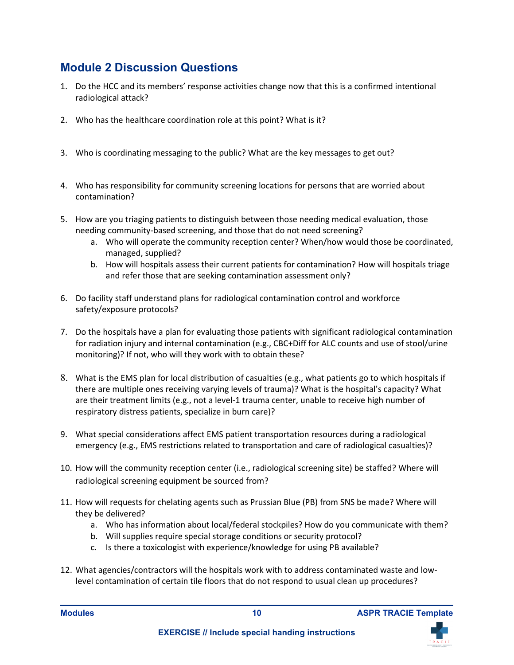### <span id="page-17-0"></span>**Module 2 Discussion Questions**

- 1. Do the HCC and its members' response activities change now that this is a confirmed intentional radiological attack?
- 2. Who has the healthcare coordination role at this point? What is it?
- 3. Who is coordinating messaging to the public? What are the key messages to get out?
- 4. Who has responsibility for community screening locations for persons that are worried about contamination?
- 5. How are you triaging patients to distinguish between those needing medical evaluation, those needing community-based screening, and those that do not need screening?
	- a. Who will operate the community reception center? When/how would those be coordinated, managed, supplied?
	- b. How will hospitals assess their current patients for contamination? How will hospitals triage and refer those that are seeking contamination assessment only?
- 6. Do facility staff understand plans for radiological contamination control and workforce safety/exposure protocols?
- for radiation injury and internal contamination (e.g., CBC+Diff for ALC counts and use of stool/urine 7. Do the hospitals have a plan for evaluating those patients with significant radiological contamination monitoring)? If not, who will they work with to obtain these?
- there are multiple ones receiving varying levels of trauma)? What is the hospital's capacity? What 8. What is the EMS plan for local distribution of casualties (e.g., what patients go to which hospitals if are their treatment limits (e.g., not a level-1 trauma center, unable to receive high number of respiratory distress patients, specialize in burn care)?
- 9. What special considerations affect EMS patient transportation resources during a radiological emergency (e.g., EMS restrictions related to transportation and care of radiological casualties)?
- 10. How will the community reception center (i.e., radiological screening site) be staffed? Where will radiological screening equipment be sourced from?
- 11. How will requests for chelating agents such as Prussian Blue (PB) from SNS be made? Where will they be delivered?
	- a. Who has information about local/federal stockpiles? How do you communicate with them?
	- b. Will supplies require special storage conditions or security protocol?
	- c. Is there a toxicologist with experience/knowledge for using PB available?
- 12. What agencies/contractors will the hospitals work with to address contaminated waste and lowlevel contamination of certain tile floors that do not respond to usual clean up procedures?



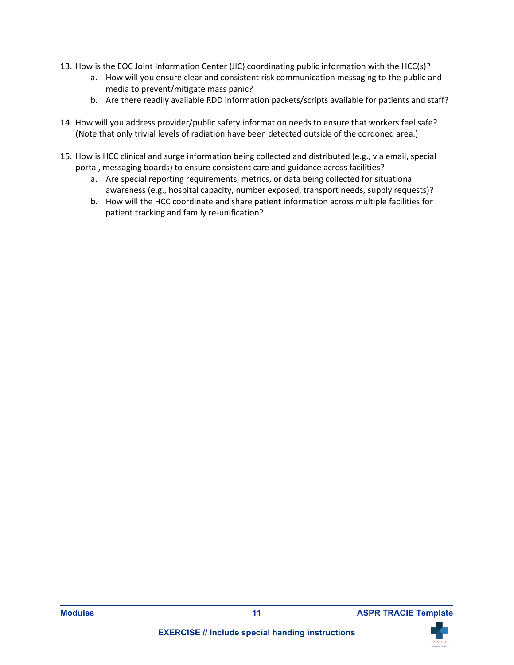- 13. How is the EOC Joint Information Center (JIC) coordinating public information with the HCC(s)?
- 13. How is the EOC Joint Information Center (JIC) coordinating public information with the HCC(s)? a. How will you ensure clear and consistent risk communication messaging to the public and media to prevent/mitigate mass panic?
	- b. Are there readily available RDD information packets/scripts available for patients and staff?
- 14. How will you address provider/public safety information needs to ensure that workers feel safe? (Note that only trivial levels of radiation have been detected outside of the cordoned area.)
- 15. How is HCC clinical and surge information being collected and distributed (e.g., via email, special portal, messaging boards) to ensure consistent care and guidance across facilities?
	- a. Are special reporting requirements, metrics, or data being collected for situational awareness (e.g., hospital capacity, number exposed, transport needs, supply requests)?
	- b. How will the HCC coordinate and share patient information across multiple facilities for patient tracking and family re-unification?

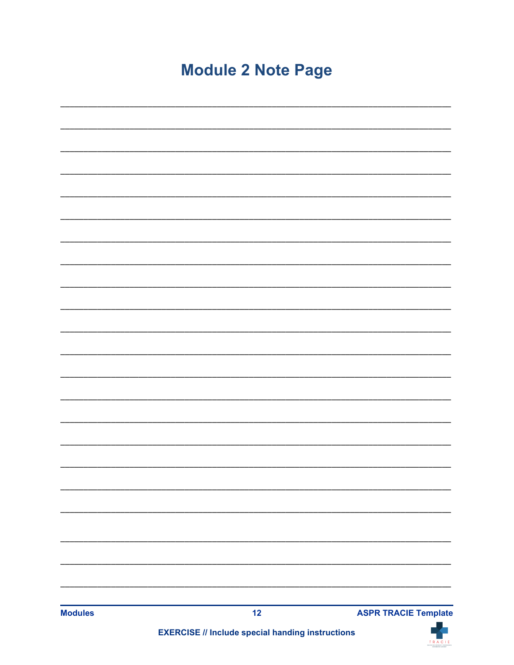# **Module 2 Note Page**

| <b>Modules</b> | 12 | <b>ASPR TRACIE Template</b> |
|----------------|----|-----------------------------|
|                |    |                             |
|                |    |                             |
|                |    |                             |
|                |    |                             |
|                |    |                             |
|                |    |                             |
|                |    |                             |
|                |    |                             |
|                |    |                             |
|                |    |                             |
|                |    |                             |
|                |    |                             |
|                |    |                             |
|                |    |                             |
|                |    |                             |
|                |    |                             |
|                |    |                             |
|                |    |                             |
|                |    |                             |
|                |    |                             |
|                |    |                             |
|                |    |                             |
|                |    |                             |
|                |    |                             |

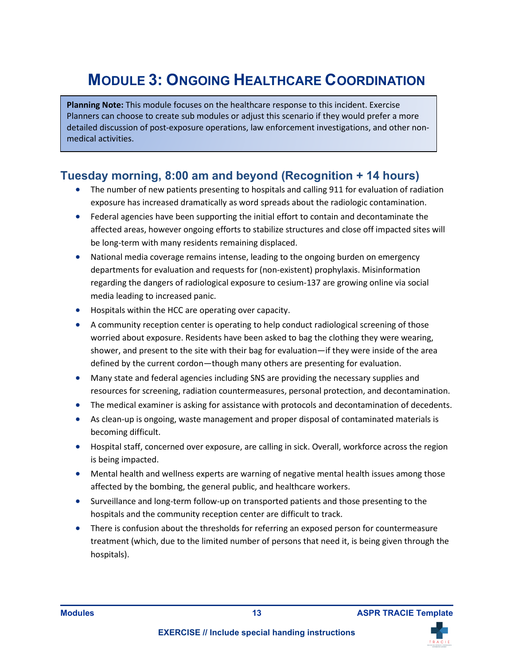# <span id="page-20-0"></span>**MODULE 3: ONGOING HEALTHCARE COORDINATION**

 Planners can choose to create sub modules or adjust this scenario if they would prefer a more **Planning Note:** This module focuses on the healthcare response to this incident. Exercise detailed discussion of post-exposure operations, law enforcement investigations, and other nonmedical activities.

# **Tuesday morning, 8:00 am and beyond (Recognition + 14 hours)**

- The number of new patients presenting to hospitals and calling 911 for evaluation of radiation exposure has increased dramatically as word spreads about the radiologic contamination.
- • Federal agencies have been supporting the initial effort to contain and decontaminate the affected areas, however ongoing efforts to stabilize structures and close off impacted sites will be long-term with many residents remaining displaced.
- departments for evaluation and requests for (non-existent) prophylaxis. Misinformation • National media coverage remains intense, leading to the ongoing burden on emergency regarding the dangers of radiological exposure to cesium-137 are growing online via social media leading to increased panic.
- Hospitals within the HCC are operating over capacity.
- • A community reception center is operating to help conduct radiological screening of those defined by the current cordon—though many others are presenting for evaluation. worried about exposure. Residents have been asked to bag the clothing they were wearing, shower, and present to the site with their bag for evaluation—if they were inside of the area
- • Many state and federal agencies including SNS are providing the necessary supplies and resources for screening, radiation countermeasures, personal protection, and decontamination.
- The medical examiner is asking for assistance with protocols and decontamination of decedents.
- becoming difficult. • As clean-up is ongoing, waste management and proper disposal of contaminated materials is
- Hospital staff, concerned over exposure, are calling in sick. Overall, workforce across the region is being impacted.
- affected by the bombing, the general public, and healthcare workers. • Mental health and wellness experts are warning of negative mental health issues among those
- • Surveillance and long-term follow-up on transported patients and those presenting to the hospitals and the community reception center are difficult to track.
- • There is confusion about the thresholds for referring an exposed person for countermeasure treatment (which, due to the limited number of persons that need it, is being given through the hospitals).



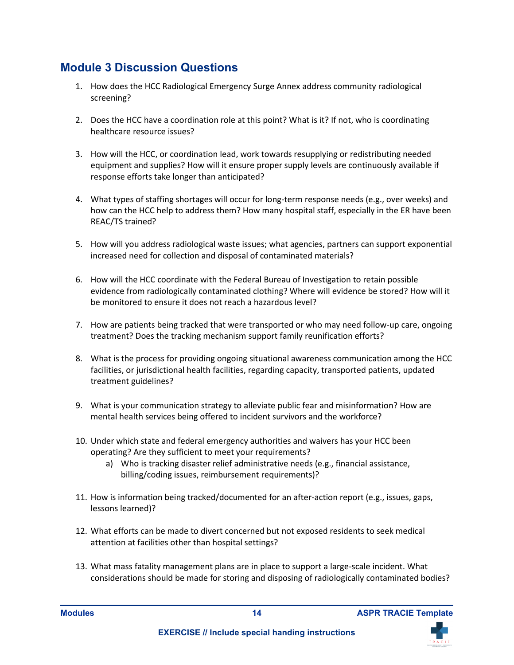### <span id="page-21-0"></span>**Module 3 Discussion Questions**

- 1. How does the HCC Radiological Emergency Surge Annex address community radiological screening?
- 2. Does the HCC have a coordination role at this point? What is it? If not, who is coordinating healthcare resource issues?
- 3. How will the HCC, or coordination lead, work towards resupplying or redistributing needed equipment and supplies? How will it ensure proper supply levels are continuously available if response efforts take longer than anticipated?
- REAC/TS trained? 4. What types of staffing shortages will occur for long-term response needs (e.g., over weeks) and how can the HCC help to address them? How many hospital staff, especially in the ER have been
- 5. How will you address radiological waste issues; what agencies, partners can support exponential increased need for collection and disposal of contaminated materials?
- evidence from radiologically contaminated clothing? Where will evidence be stored? How will it be monitored to ensure it does not reach a hazardous level? 6. How will the HCC coordinate with the Federal Bureau of Investigation to retain possible
- 7. How are patients being tracked that were transported or who may need follow-up care, ongoing treatment? Does the tracking mechanism support family reunification efforts?
- 8. What is the process for providing ongoing situational awareness communication among the HCC facilities, or jurisdictional health facilities, regarding capacity, transported patients, updated treatment guidelines?
- 9. What is your communication strategy to alleviate public fear and misinformation? How are mental health services being offered to incident survivors and the workforce?
- 10. Under which state and federal emergency authorities and waivers has your HCC been operating? Are they sufficient to meet your requirements?
	- a) Who is tracking disaster relief administrative needs (e.g., financial assistance, billing/coding issues, reimbursement requirements)?
- 11. How is information being tracked/documented for an after-action report (e.g., issues, gaps, lessons learned)?
- attention at facilities other than hospital settings? 12. What efforts can be made to divert concerned but not exposed residents to seek medical
- 13. What mass fatality management plans are in place to support a large-scale incident. What considerations should be made for storing and disposing of radiologically contaminated bodies?